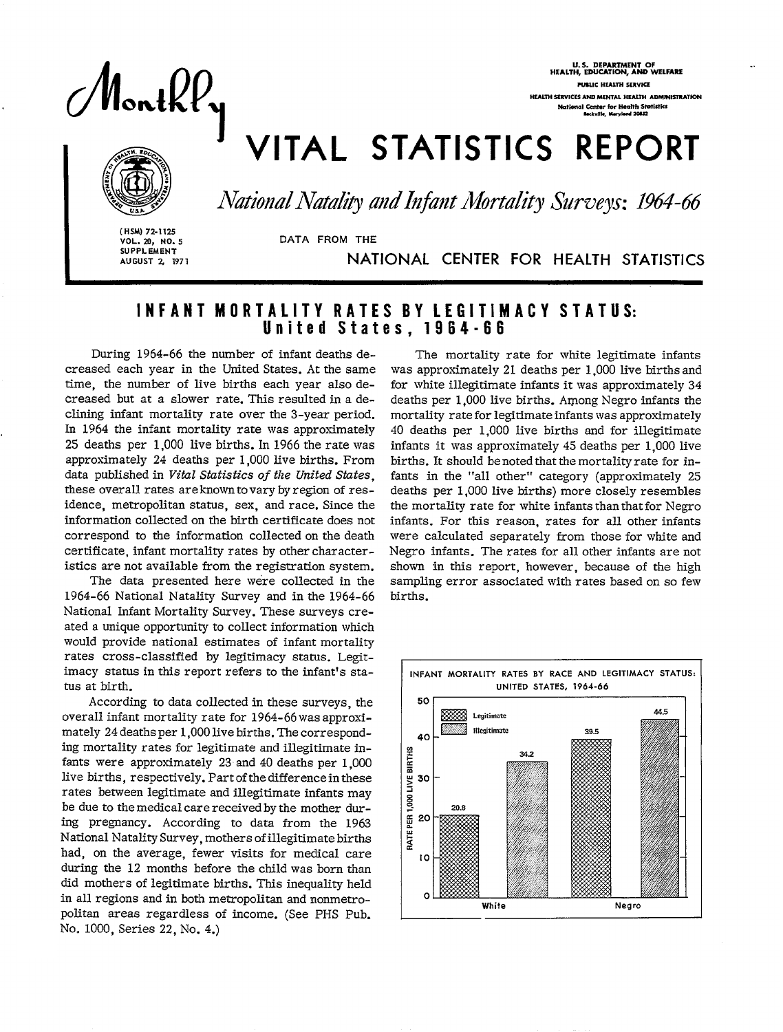MonthPy

U.S. DEPARTMENT OF HEALTH, EOUCATION, AHD WELFARS PUBLIC HEALTH SERVICE **HEALTH SERVICES AND MENTAL HEALTH ADMINISTRATION** National C<del>enter for Health Stat</del>istics<br>Inckville, Marylond 20052

# VITAL STATISTICS REPORT



i<br>I<br>I

National Natality and Infant Mortality Surveys: 1964-66

( HSM) 72-1125 VOL. 20, NO. 5 SUPPLEMENT AUGUST 2, 1971

AU **GUST 3/ 1971** NATIONAL CENTER FOR HEALTH STATISTICS

## INFANT MORTALITY RATES BY LEGITIMACY STATUS: United States, 1964-66

**DATA FROM THE** 

During 1964-66 the number of infant deaths decreased each year in the United States. At the same time, the number of live births each year also decreased but at a slower rate. This resulted in a declining infant mortality rate over the 3-year period. In 1964 the infant mortality rate was approximately 25 deaths per 1,000 live births. In 1966 the rate was approximately 24 deaths per 1,000 live births. From data published in *Vital Statistics of the United Stutes,*  these overall rates are known to vary by region of residence, metropolitan status, sex, and race. Since the information collected on the birth certificate does not correspond to the information collected on the death certificate, infant mortality rates by other characteristics are not available from the registration system.

The data presented here were collected in the 1964-66 National Natality Survey and in the 1964-66 National Infant Mortality Survey. These surveys created a unique opportunity to collect information which would provide national estimates of infant mortality rates cross-classified by legitimacy status. Legitimacy status in this report refers to the infant's status at birth.

According to data collected in these surveys, the overall infant mortality rate for 1964-66 was approximately 24 deaths per 1,000 live births. The corresponding mortality rates for legitimate and illegitimate infants were approximately 23 and 40 deaths per 1,000 live births, respectively. Part of the difference in these rates between legitimate and illegitimate infants may be due to the medical care received by the mother during pregnancy. According to data from the 1963 National Natality Survey, mothers of illegitimate births had, on the average, fewer visits for medical care during the 12 months before the child was born than did mothers of legitimate births. This inequality held in all regions and in both metropolitan and nonmetropolitan areas regardless of income. (See PHS Pub. No. 1000, Series 22, No. 4.)

The mortality rate for white legitimate infants was approximately 21 deaths per 1,000 live births and for white illegitimate infants it was approximately 34 deaths per 1,000 live births. Arpong Negro infants the mortality rate for legitimate infants was approximately 40 deaths per 1,000 live births and for illegitimate infants it was approximately 45 deaths per 1,000 live births. It should be noted that the mortality rate for infants in the "all other" category (approximately 25 deaths per 1,000 live births) more closely resembles the mortality rate for white infants than that for Negro infants. For this reason, rates for all other infants were calculated separately from those for white and Negro infants. The rates for all other infants are not shown in this report, however, because of the high sampling error associated with rates based on so few births.

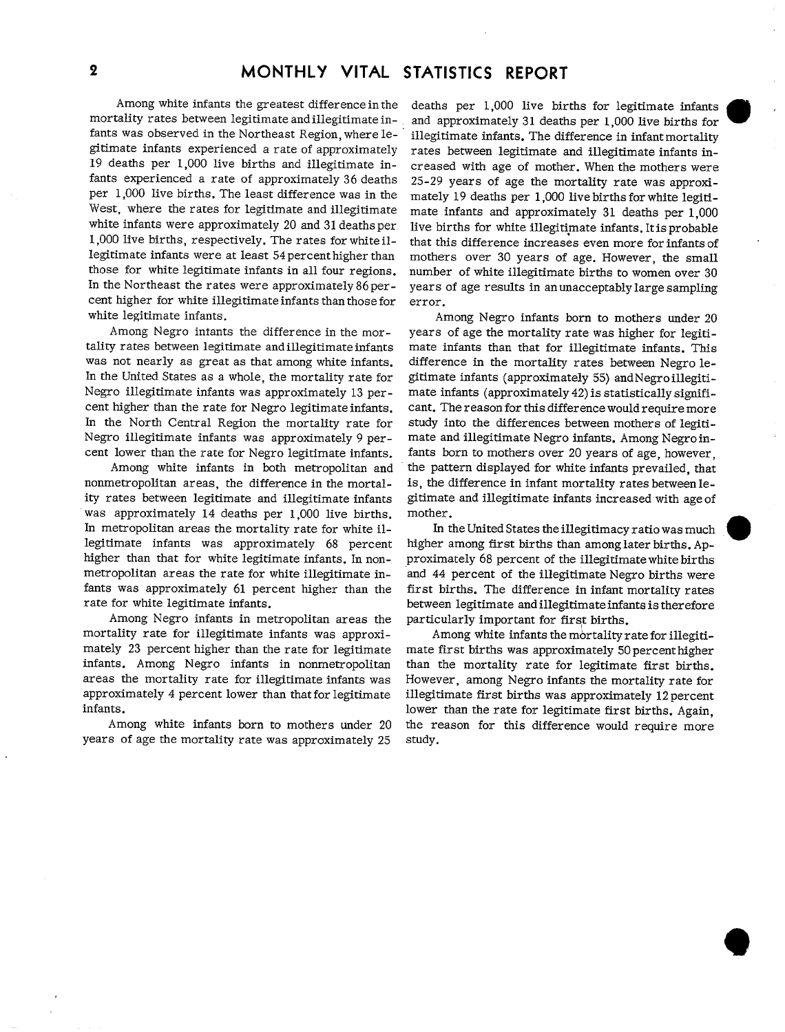Among white infants the greatest difference in the mortality rates between legitimate and illegitimate infants was observed in the Northeast Region, where legitimate infants experienced a rate of approximately 19 deaths per 1,000 live births and illegitimate infants experienced a rate of approximately 36 deaths per 1,000 live births. The least difference was in the West, where the rates for legitimate and illegitimate white infants were approximately 20 and 31 deaths per 1,000 live births, respectively. The rates for white illegitimate infants were at least 54 percent higher than those for white legitimate infants in all four regions. In the Northeast the rates were approximately 86 percent higher for white illegitimate infants than those for white legitimate infants.

Among Negro intants the difference in the mortality rates between legitimate and illegitimate infants was not nearly as great as that among white infants. In the United States as a whole, the mortality rate for Negro illegitimate infants was approximately 13 percent higher than the rate for Negro legitimate infants. In the North Central Region the mortality rate for Negro illegitimate infants was approximately 9 percent lower than the rate for Negro legitimate infants.

Among white infants in both metropolitan and nonmetropolitan areas, the difference in the mortality rates between legitimate and illegitimate infants was approximately 14 deaths per 1,000 live births. In metropolitan areas the mortality rate for white illegitimate infants was approximately 68 percent higher than that for white legitimate infants. In nonmetropolitan areas the rate for white illegitimate infants was approximately 61 percent higher than the rate for white legitimate infants.

Among Negro infants in metropolitan areas the mortality rate for illegitimate infants was approximately 23 percent higher than the rate for legitimate infants. Among Negro infants in nonmetropolitan areas the mortality rate for illegitimate infants was approximately 4 percent lower than that for legitimate infants.

Among white infants born to mothers under 20 years of age the mortality rate was approximately 25

deaths per 1,000 live births for legitimate infants and approximately 31 deaths per 1,000 live births for illegitimate infants. The difference in infant mortality rates between legitimate and illegitimate infants increased with age of mother. When the mothers were 25-29 years of age the mortality rate was approximately 19 deaths per 1,000 live births for white legitimate infants and approximately 31 deaths per 1,000 live births for white illegitimate infants. It is probable that this difference increases even more for infants of mothers over 30 years of age. However, the small number of white illegitimate births to women over 30 years of age results in an unacceptably large sampling error.

Among Negro infants born to mothers under 20 years of age the mortality rate was higher for legitimate infants than that for illegitimate infants. This difference in the mortality rates between Negro legitimate infants (approximately 55) and Negro illegitimate infants (approximately 42) is statistically significant. The reason for this difference would require more study into the differences between mothers of legitimate and illegitimate Negro infants. Among Negro infants born to mothers over 20 years of age, however, the pattern displayed for white infants prevailed, that is, the difference in infant mortality rates between legitimate and illegitimate infants increased with age of mother.

In the United States the illegitimacy ratio was much higher among first births than among later births. Approximately 68 percent of the illegitimate white births and 44 percent of the illegitimate Negro births were first births. The difference in infant mortality rates between legitimate and illegitimate infants is therefore particularly important for first births.

Among white infants the mortality rate for illegitimate first births was approximately 50 percent higher than the mortality rate for legitimate first births. However, among Negro infants the mortality rate for illegitimate first births was approximately 12 percent lower than the rate for legitimate first births. Again, the reason for this difference would require more study.

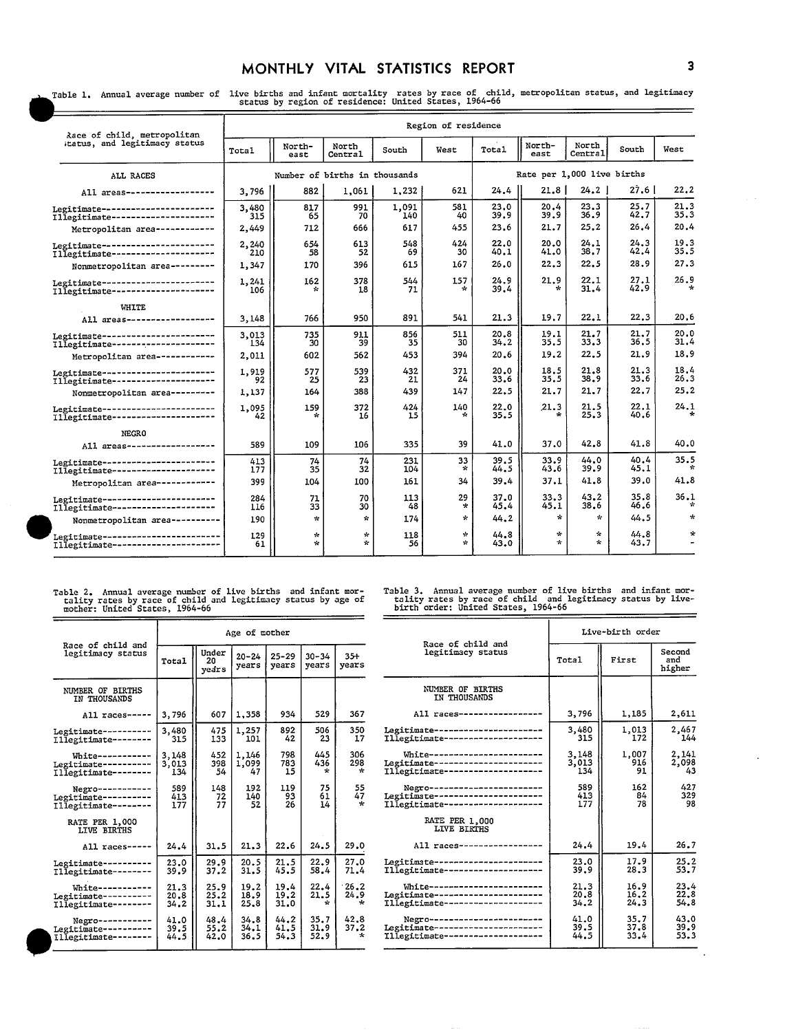### MONTHLY VITAL STATISTICS REPORT 3

 $\ddot{\phantom{a}}$ 

Table 1. Annual average number of live births and infant mortality rates by race of child, metropolitan status, and Legitimacy<br>status by region of residence: United States, 1964-66  $=$ 

| Race of child, metropolitan                                               | Region of residence |                               |                               |              |                               |                            |                         |                    |              |              |  |  |
|---------------------------------------------------------------------------|---------------------|-------------------------------|-------------------------------|--------------|-------------------------------|----------------------------|-------------------------|--------------------|--------------|--------------|--|--|
| itatus, and legitimacy status                                             | Total               | North-<br>east                | North<br>Central              | South        | West                          | Total                      | North-<br>east          | North<br>Central   | South        | West         |  |  |
| ALL RACES                                                                 |                     | Number of births in thousands |                               |              |                               | Rate per 1,000 live births |                         |                    |              |              |  |  |
| All areas------------------                                               | 3,796               | 882                           | 1,061                         | 1,232        | 621                           | 24.4                       | 21.8 I                  | 24.2               | 27.6 I       | 22.2         |  |  |
| Legitimate-----------------------<br>Illegitimate---------------------    | 3,480<br>315        | 817<br>65                     | 991<br>70                     | 1,091<br>140 | 581<br>40                     | 23.0<br>39.9               | 20.4<br>39.9            | 23.3<br>36.9       | 25.7<br>42.7 | 21.3<br>35.3 |  |  |
| Metropolitan area ------------                                            | 2,449               | 712                           | 666                           | 617          | 455                           | 23.6                       | 21.7                    | 25.2               | 26.4         | 20.4         |  |  |
| Legitimate-----------------------<br>Illegitimate---------------------    | 2.240<br>210        | 654<br>58                     | 613<br>52                     | 548<br>69    | 424<br>30                     | 22.0<br>40.1               | 20.0<br>41.0            | 24.1<br>38.7       | 24.3<br>42.4 | 19.3<br>35.5 |  |  |
| Nonmetropolitan area ---------                                            | 1,347               | 170                           | 396                           | 615          | 167                           | 26.0                       | 22.3                    | 22.5               | 28.9         | 27.3         |  |  |
| Legitimate------------------------<br>Illegitimate ---------------------  | 1,241<br>106        | 162                           | 378<br>18                     | 544<br>71    | 157<br>$\star$                | 24.9<br>39.4               | 21.9<br>÷               | 22.1<br>31.4       | 27.1<br>42.9 | 26.9         |  |  |
| <b>WHITE</b>                                                              |                     |                               |                               |              |                               |                            |                         |                    |              |              |  |  |
| All areas-------------------                                              | 3,148               | 766                           | 950                           | 891          | 541                           | 21.3                       | 19.7                    | 22.1               | 22.3         | 20.6         |  |  |
| Legitimate-----------------------<br>Illegitimate----------------------   | 3.013<br>134        | 735<br>30                     | 911<br>39                     | 856<br>35    | 511<br>30                     | 20.8<br>34.2               | 19.1<br>35.5            | 21.7<br>33.3       | 21.7<br>36.5 | 20.0<br>31.4 |  |  |
| Metropolitan area -----------                                             | 2,011               | 602                           | 562                           | 453          | 394                           | 20.6                       | 19.2                    | 22.5               | 21.9         | 18.9         |  |  |
| Legitimate-----------------------<br>Illegitimate ---------------------   | 1,919<br>92         | 577<br>25                     | 539<br>23                     | 432<br>21    | 371<br>24                     | 20.0<br>33.6               | 18.5<br>35.5            | 21.8<br>38.9       | 21.3<br>33.6 | 18.4<br>26.3 |  |  |
| Nonmetropolitan area ---------                                            | 1,137               | 164                           | 388                           | 439          | 147                           | 22.5                       | 21.7                    | 21.7               | 22.7         | 25.2         |  |  |
| Legitimate-----------------------<br>Illegitimate----------------------   | 1,095<br>42         | 159                           | 372<br>16                     | 424<br>15    | 140<br>÷.                     | 22.0<br>35.5               | 21.3<br>÷               | 21.5<br>25.3       | 22.1<br>40.6 | 24.1         |  |  |
| NEGRO                                                                     |                     |                               |                               |              |                               |                            |                         |                    |              |              |  |  |
| All areas-------------------                                              | 589                 | 109                           | 106                           | 335          | 39                            | 41.0                       | 37.0                    | 42.8               | 41.8         | 40.0         |  |  |
| Legitimate------------------------<br>Illegitimate ---------------------  | 413<br>177          | 74<br>35                      | 74<br>32                      | 231<br>104   | 33<br>÷                       | 39.5<br>44.5               | 33.9<br>43.6            | 44.0<br>39.9       | 40.4<br>45.1 | 35.5         |  |  |
| Metropolitan area ------------                                            | 399                 | 104                           | 100                           | 161          | 34                            | 39.4                       | 37.1                    | 41.8               | 39.0         | 41.8         |  |  |
| Legitimate -----------------------<br>Illegitimate --------------------   | 284<br>116          | 71<br>33                      | 70<br>30                      | 113<br>48    | 29<br>÷                       | 37.0<br>45.4               | 33.3<br>45.1            | 43.2<br>38.6       | 35.8<br>46.6 | 36.1         |  |  |
| Nonmetropolitan area ----------                                           | 190                 | $\mathbf{R}$                  | $\ddot{\mathbf{x}}$           | 174          | $\star$                       | 44.2                       | $\mathbf{x}$            | $\mathbf{x}$       | 44.5         | $\star$      |  |  |
| Legitimate------------------------<br>Illegitimate ---------------------- | 129<br>61           | $\star$<br>$\mathcal{L}$      | $\mathcal{U}$<br>$\mathbf{r}$ | 118<br>56    | $\mathcal{L}$<br>$\mathbf{r}$ | 44.8<br>43.0               | $\star$<br>$\mathbf{x}$ | $\mathbf{k}$<br>÷. | 44.8<br>43.7 | $\star$      |  |  |

Table 2. Annual average number of live births and infant mor- Table 3. Annual average number of live births and infant mor-<br>tality rates by race of child and legitimacy status by age of the these by race of child and legit Table 2. Annual average number of live births and infant mortality rates by race of child and legitimacy status by age of mother: United States, 1964-66

|                                                                                                                     |                       |                      | Age of mother        |                                        |                        |                         |                                                                                                          | Live-birth order      |                      |                    |  |
|---------------------------------------------------------------------------------------------------------------------|-----------------------|----------------------|----------------------|----------------------------------------|------------------------|-------------------------|----------------------------------------------------------------------------------------------------------|-----------------------|----------------------|--------------------|--|
| Race of child and<br>Under<br>legitimacy status<br>$25 - 29$<br>$20 - 24$<br>20<br>Total<br>years<br>years<br>years |                       | $30 - 34$<br>years   | $35 +$<br>years      | Race of child and<br>legitimacy status | Total                  | First                   | Secon<br>and<br>highe                                                                                    |                       |                      |                    |  |
| NUMBER OF BIRTHS<br>IN THOUSANDS                                                                                    |                       |                      |                      |                                        |                        |                         | NUMBER OF BIRTHS<br>IN THOUSANDS                                                                         |                       |                      |                    |  |
| $All$ races-----                                                                                                    | 3,796                 | 607                  | 1,358                | 934                                    | 529                    | 367                     | All races------------------                                                                              | 3,796                 | 1.185                | 2.6                |  |
| Legitimate----------<br>Illegitimate --------                                                                       | 3,480<br>315          | 475<br>133           | 1,257<br>101         | 892<br>42                              | 506<br>23              | 350<br>17               | Legitimate -----------------------<br>Illegitimate---------------------                                  | 3,480<br>315          | 1.013<br>172         | 2,4                |  |
| White-----------<br>Legitimate----------<br>Illegitimate --------                                                   | 3.148<br>3,013<br>134 | 452<br>398<br>54     | 1,146<br>1.099<br>47 | 798<br>783<br>15                       | 445<br>436<br>÷        | 306<br>298<br>÷         | White------------------------<br>Legitimate----------------------<br>Illegitimate--------------------    | 3.148<br>3.013<br>134 | 1,007<br>916<br>91   | $\frac{2}{2}$ , d  |  |
| Negro-----------<br>Legitimate----------<br>Illegitimate --------                                                   | 589<br>413<br>177     | 148<br>72<br>77      | 192<br>140<br>52     | 119<br>93<br>26                        | 75<br>61<br>14         | 55<br>47<br>÷           | Negro------------------------<br>Legitimate----------------------<br>Illegitimate --------------------   | 589<br>413<br>177     | 162<br>84<br>78      | $\overline{\cdot}$ |  |
| RATE PER 1,000<br>LIVE BIRTHS                                                                                       |                       |                      |                      |                                        |                        |                         | RATE PER 1,000<br>LIVE BIRTHS                                                                            |                       |                      |                    |  |
| All races -----                                                                                                     | 24.4                  | 31.5                 | 21.3                 | 22.6                                   | 24.5                   | 29.0                    | All races------------------                                                                              | 24.4                  | 19.4                 | 26                 |  |
| Legitimate----------<br>Illegitimate --------                                                                       | 23.0<br>39.9          | 29.9<br>37.2         | 20.5<br>31.5         | 21.5<br>45.5                           | 22.9<br>58.4           | 27.0<br>71.4            | Legitimate-----------------------<br>Illegitimate --------------------                                   | 23.0<br>39.9          | 17.9<br>28.3         | $\frac{2}{5}$      |  |
| White-----------<br>Legitimate ----------<br>Illegitimate --------                                                  | 21.3<br>20.8<br>34.2  | 25.9<br>25.2<br>31.1 | 19.2<br>18.9<br>25.8 | 19.4<br>19.2<br>31.0                   | 22.4<br>21.5<br>$\sim$ | 26.2<br>24.9<br>$\star$ | White-------------------------<br>Legitimate-----------------------<br>Illegitimate--------------------- | 21.3<br>20.8<br>34.2  | 16.9<br>16.2<br>24.3 | 23<br>22<br>54     |  |
| $Negro--------$<br>Legitimate ----------<br>Illegitimate --------                                                   | 41.0<br>39.5<br>44.5  | 48.4<br>55.2<br>42.0 | 34.8<br>34.1<br>36.5 | 44.2<br>41.5<br>54.3                   | 35.7<br>31.9<br>52.9   | 42.8<br>37.2<br>$\star$ | Negro------------------------<br>Legitimate-----------------------<br>Illegitimate--------------------   | 41.0<br>39.5<br>44.5  | 35.7<br>37.8<br>33.4 | 43<br>39<br>53     |  |

|                                                                   |                       |                      | Age of mother        |                      |                        |                         |                                                                                                         | Live-birth order      |                      |                         |  |
|-------------------------------------------------------------------|-----------------------|----------------------|----------------------|----------------------|------------------------|-------------------------|---------------------------------------------------------------------------------------------------------|-----------------------|----------------------|-------------------------|--|
| Race of child and<br>legitimacy status                            | Total                 | Under<br>20<br>vears | $20 - 24$<br>years   | $25 - 29$<br>years   | $30 - 34$<br>vears     | $35 +$<br>years         | Race of child and<br>legitimacy status                                                                  | Total                 | First                | Second<br>and<br>higher |  |
| NUMBER OF BIRTHS<br>IN THOUSANDS                                  |                       |                      |                      |                      |                        |                         | NUMBER OF BIRTHS<br>IN THOUSANDS                                                                        |                       |                      |                         |  |
| All races-----                                                    | 3,796                 | 607                  | 1,358                | 934                  | 529                    | 367                     | All races------------------                                                                             | 3,796                 | 1,185                | 2,611                   |  |
| Legitimate----------<br>Illegitimate--------                      | 3,480<br>315          | 475<br>133           | 1.257<br>101         | 892<br>42            | 506<br>23              | 350<br>17               | Legitimate-----------------------<br>Illegitimate ---------------------                                 | 3,480<br>315          | 1,013<br>172         | 2,467<br>144            |  |
| White-----------<br>Legitimate----------<br>Illegitimate--------  | 3,148<br>3,013<br>134 | 452<br>398<br>54     | 1,146<br>1.099<br>47 | 798<br>783<br>15     | 445<br>436<br>÷        | 306<br>298<br>$\star$   | White------------------------<br>Legitimate----------------------<br>Illegitimate--------------------   | 3.148<br>3,013<br>134 | 1,007<br>916<br>91   | 2.141<br>2,098<br>43    |  |
| Negro-----------<br>Legitimate----------<br>Illegitimate--------  | 589<br>413<br>177     | 148<br>72<br>77      | 192<br>140<br>52     | 119<br>93<br>26      | 75<br>61<br>14         | 55<br>47                | Negro------------------------<br>Legitimate----------------------<br>Illegitimate --------------------  | 589<br>413<br>177     | 162<br>84<br>78      | 427<br>329<br>98        |  |
| RATE PER 1,000<br>LIVE BIRTHS                                     |                       |                      |                      |                      |                        |                         | RATE PER 1,000<br>LIVE BIRTHS                                                                           |                       |                      |                         |  |
| All races -----                                                   | 24.4                  | 31.5                 | 21.3                 | 22.6                 | 24.5                   | 29.0                    | All races------------------                                                                             | 24.4                  | 19.4                 | 26.7                    |  |
| Legitimate----------<br>Illegitimate--------                      | 23.0<br>39.9          | 29.9<br>37.2         | 20.5<br>31.5         | 21.5<br>45.5         | 22.9<br>58.4           | 27.0<br>71.4            | Legitimate-----------------------<br>Illegitimate --------------------                                  | 23.0<br>39.9          | 17.9<br>28.3         | 25.2<br>33.7            |  |
| White-----------<br>Legitimate----------<br>Illegitimate--------  | 21.3<br>20.8<br>34.2  | 25.9<br>25.2<br>31,1 | 19.2<br>18.9<br>25.8 | 19.4<br>19.2<br>31.0 | 22.4<br>21.5<br>$\sim$ | 26.2<br>24.9<br>$\star$ | White------------------------<br>Legitimate-----------------------<br>Illegitimate--------------------- | 21.3<br>20.8<br>34.2  | 16.9<br>16.2<br>24.3 | 23.4<br>22.8<br>54.8    |  |
| Negro-----------<br>Legitimate----------<br>Illegitimate -------- | 41.0<br>39.5<br>44.5  | 48.4<br>55.2<br>42.0 | 34.8<br>34.1<br>36.5 | 44.2<br>41.5<br>54.3 | 35.7<br>31.9<br>52.9   | 42.8<br>37.2<br>$\star$ | Negro------------------------<br>Legitimate-----------------------<br>Illegitimate--------------------  | 41.0<br>39.5<br>44.5  | 35.7<br>37.8<br>33.4 | 43.0<br>39.9<br>53.3    |  |
|                                                                   |                       |                      |                      |                      |                        |                         |                                                                                                         |                       |                      |                         |  |